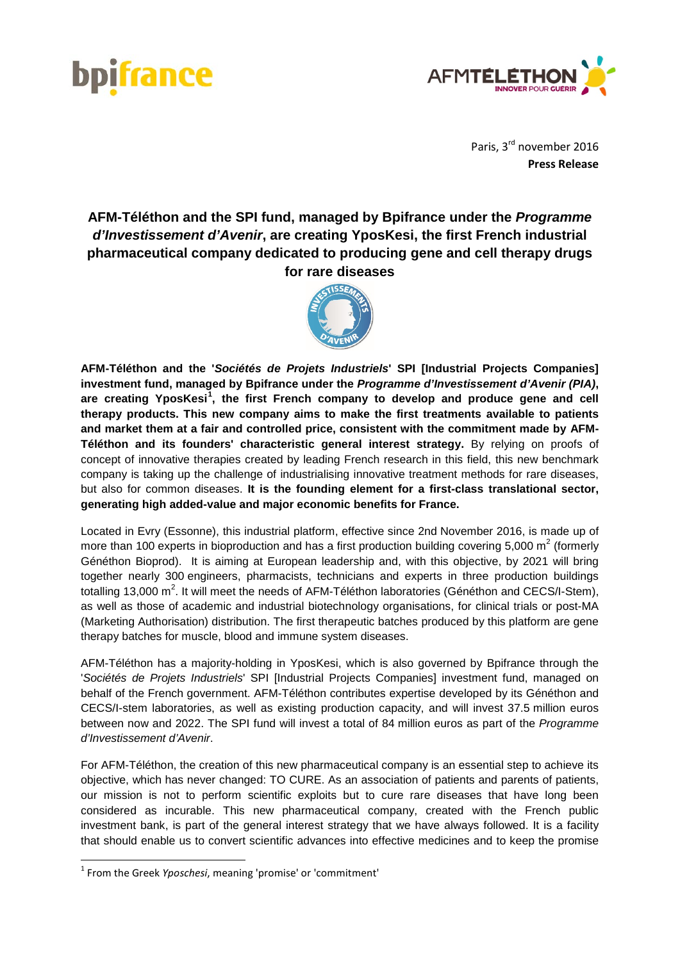



Paris, 3rd november 2016 **Press Release** 

**AFM-Téléthon and the SPI fund, managed by Bpifrance under the** *Programme d'Investissement d'Avenir***, are creating YposKesi, the first French industrial pharmaceutical company dedicated to producing gene and cell therapy drugs for rare diseases**



**AFM-Téléthon and the '***Sociétés de Projets Industriels***' SPI [Industrial Projects Companies] investment fund, managed by Bpifrance under the** *Programme d'Investissement d'Avenir (PIA)***, are creating YposKesi[1](#page-0-0) , the first French company to develop and produce gene and cell therapy products. This new company aims to make the first treatments available to patients and market them at a fair and controlled price, consistent with the commitment made by AFM-Téléthon and its founders' characteristic general interest strategy.** By relying on proofs of concept of innovative therapies created by leading French research in this field, this new benchmark company is taking up the challenge of industrialising innovative treatment methods for rare diseases, but also for common diseases. **It is the founding element for a first-class translational sector, generating high added-value and major economic benefits for France.** 

Located in Evry (Essonne), this industrial platform, effective since 2nd November 2016, is made up of more than 100 experts in bioproduction and has a first production building covering 5,000  $m^2$  (formerly Généthon Bioprod). It is aiming at European leadership and, with this objective, by 2021 will bring together nearly 300 engineers, pharmacists, technicians and experts in three production buildings totalling 13,000 m<sup>2</sup>. It will meet the needs of AFM-Téléthon laboratories (Généthon and CECS/I-Stem), as well as those of academic and industrial biotechnology organisations, for clinical trials or post-MA (Marketing Authorisation) distribution. The first therapeutic batches produced by this platform are gene therapy batches for muscle, blood and immune system diseases.

AFM-Téléthon has a majority-holding in YposKesi, which is also governed by Bpifrance through the '*Sociétés de Projets Industriels*' SPI [Industrial Projects Companies] investment fund, managed on behalf of the French government. AFM-Téléthon contributes expertise developed by its Généthon and CECS/I-stem laboratories, as well as existing production capacity, and will invest 37.5 million euros between now and 2022. The SPI fund will invest a total of 84 million euros as part of the *Programme d'Investissement d'Avenir*.

For AFM-Téléthon, the creation of this new pharmaceutical company is an essential step to achieve its objective, which has never changed: TO CURE. As an association of patients and parents of patients, our mission is not to perform scientific exploits but to cure rare diseases that have long been considered as incurable. This new pharmaceutical company, created with the French public investment bank, is part of the general interest strategy that we have always followed. It is a facility that should enable us to convert scientific advances into effective medicines and to keep the promise

<span id="page-0-0"></span> <sup>1</sup> From the Greek *Yposchesi*, meaning 'promise' or 'commitment'